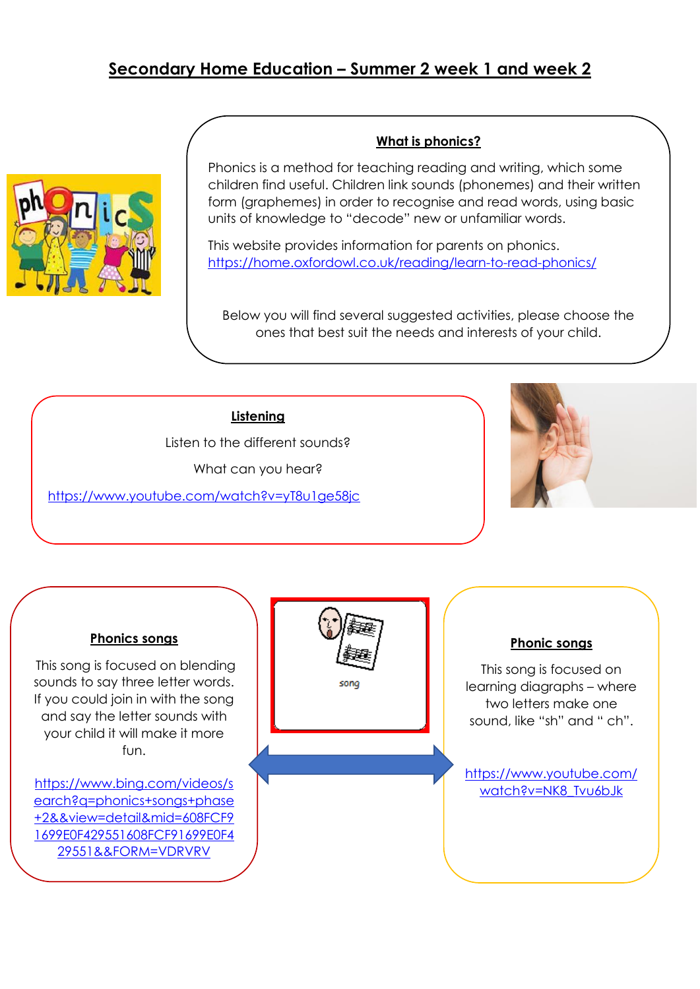# **Secondary Home Education – Summer 2 week 1 and week 2**



#### **What is phonics?**

Phonics is a method for teaching reading and writing, which some children find useful. Children link sounds (phonemes) and their written form (graphemes) in order to recognise and read words, using basic units of knowledge to "decode" new or unfamiliar words.

This website provides information for parents on phonics. <https://home.oxfordowl.co.uk/reading/learn-to-read-phonics/>

Below you will find several suggested activities, please choose the ones that best suit the needs and interests of your child.

## **Listening**

Listen to the different sounds? What can you hear?

<https://www.youtube.com/watch?v=yT8u1ge58jc>



#### **Phonics songs**

This song is focused on blending sounds to say three letter words. If you could join in with the song and say the letter sounds with your child it will make it more fun.

[https://www.bing.com/videos/s](https://www.bing.com/videos/search?q=phonics+songs+phase+2&&view=detail&mid=608FCF91699E0F429551608FCF91699E0F429551&&FORM=VDRVRV) [earch?q=phonics+songs+phase](https://www.bing.com/videos/search?q=phonics+songs+phase+2&&view=detail&mid=608FCF91699E0F429551608FCF91699E0F429551&&FORM=VDRVRV) [+2&&view=detail&mid=608FCF9](https://www.bing.com/videos/search?q=phonics+songs+phase+2&&view=detail&mid=608FCF91699E0F429551608FCF91699E0F429551&&FORM=VDRVRV) [1699E0F429551608FCF91699E0F4](https://www.bing.com/videos/search?q=phonics+songs+phase+2&&view=detail&mid=608FCF91699E0F429551608FCF91699E0F429551&&FORM=VDRVRV) [29551&&FORM=VDRVRV](https://www.bing.com/videos/search?q=phonics+songs+phase+2&&view=detail&mid=608FCF91699E0F429551608FCF91699E0F429551&&FORM=VDRVRV)



#### **Phonic songs**

This song is focused on learning diagraphs – where two letters make one sound, like "sh" and " ch".

[https://www.youtube.com/](https://www.youtube.com/watch?v=NK8_Tvu6bJk) [watch?v=NK8\\_Tvu6bJk](https://www.youtube.com/watch?v=NK8_Tvu6bJk)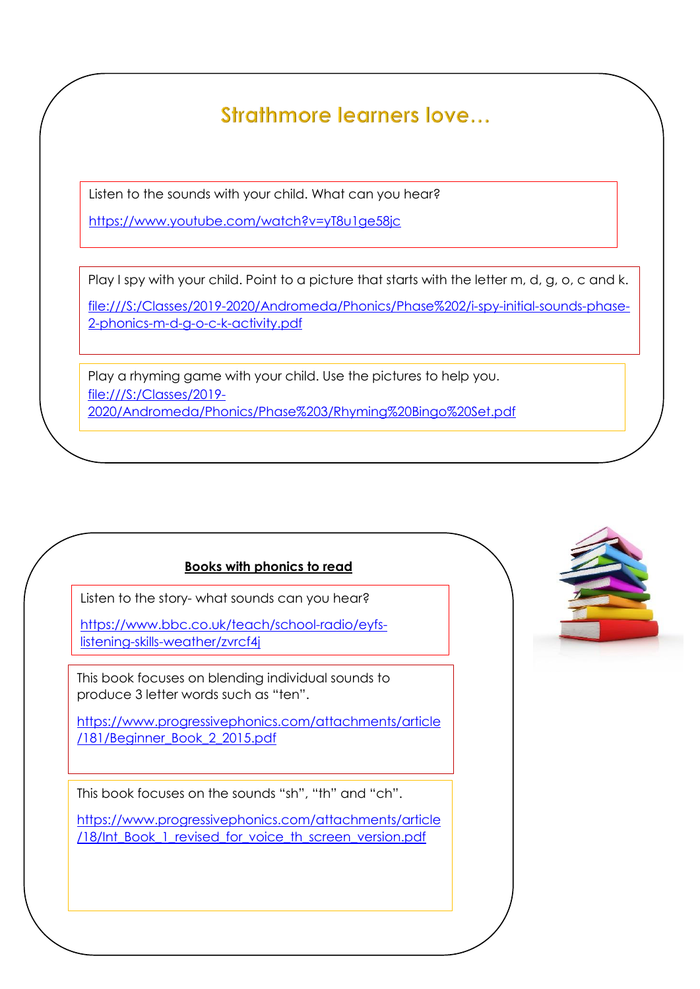Strathmore learners love...

Listen to the sounds with your child. What can you hear?

<https://www.youtube.com/watch?v=yT8u1ge58jc>

Play I spy with your child. Point to a picture that starts with the letter m, d, g, o, c and k.

[file:///S:/Classes/2019-2020/Andromeda/Phonics/Phase%202/i-spy-initial-sounds-phase-](file://///fs01/staff_area/Classes/2019-2020/Andromeda/Phonics/Phase%202/i-spy-initial-sounds-phase-2-phonics-m-d-g-o-c-k-activity.pdf)[2-phonics-m-d-g-o-c-k-activity.pdf](file://///fs01/staff_area/Classes/2019-2020/Andromeda/Phonics/Phase%202/i-spy-initial-sounds-phase-2-phonics-m-d-g-o-c-k-activity.pdf)

[file:///S:/Classes/2019-2020/Andromeda/Phonics/Phase%202/i-spy-initial-sounds-phase-](file://///fs01/staff_area/Classes/2019-2020/Andromeda/Phonics/Phase%202/i-spy-initial-sounds-phase-2-phonics-s-a-t-p-i-n-activity_ver_1.pdf)

Play a rhyming game with your child. Use the pictures to help you. [file:///S:/Classes/2019-](file://///fs01/staff_area/Classes/2019-2020/Andromeda/Phonics/Phase%203/Rhyming%20Bingo%20Set.pdf) [2020/Andromeda/Phonics/Phase%203/Rhyming%20Bingo%20Set.pdf](file://///fs01/staff_area/Classes/2019-2020/Andromeda/Phonics/Phase%203/Rhyming%20Bingo%20Set.pdf)

# **Books with phonics to read**

Listen to the story- what sounds can you hear?

[https://www.bbc.co.uk/teach/school-radio/eyfs](https://www.bbc.co.uk/teach/school-radio/eyfs-listening-skills-weather/zvrcf4j)[listening-skills-weather/zvrcf4j](https://www.bbc.co.uk/teach/school-radio/eyfs-listening-skills-weather/zvrcf4j)

This book focuses on blending individual sounds to produce 3 letter words such as "ten".

[https://www.progressivephonics.com/attachments/article](https://www.progressivephonics.com/attachments/article/181/Beginner_Book_2_2015.pdf) [/181/Beginner\\_Book\\_2\\_2015.pdf](https://www.progressivephonics.com/attachments/article/181/Beginner_Book_2_2015.pdf)

This book focuses on the sounds "sh", "th" and "ch".

[https://www.progressivephonics.com/attachments/article](https://www.progressivephonics.com/attachments/article/18/Int_Book_1_revised_for_voice_th_screen_version.pdf) [/18/Int\\_Book\\_1\\_revised\\_for\\_voice\\_th\\_screen\\_version.pdf](https://www.progressivephonics.com/attachments/article/18/Int_Book_1_revised_for_voice_th_screen_version.pdf)

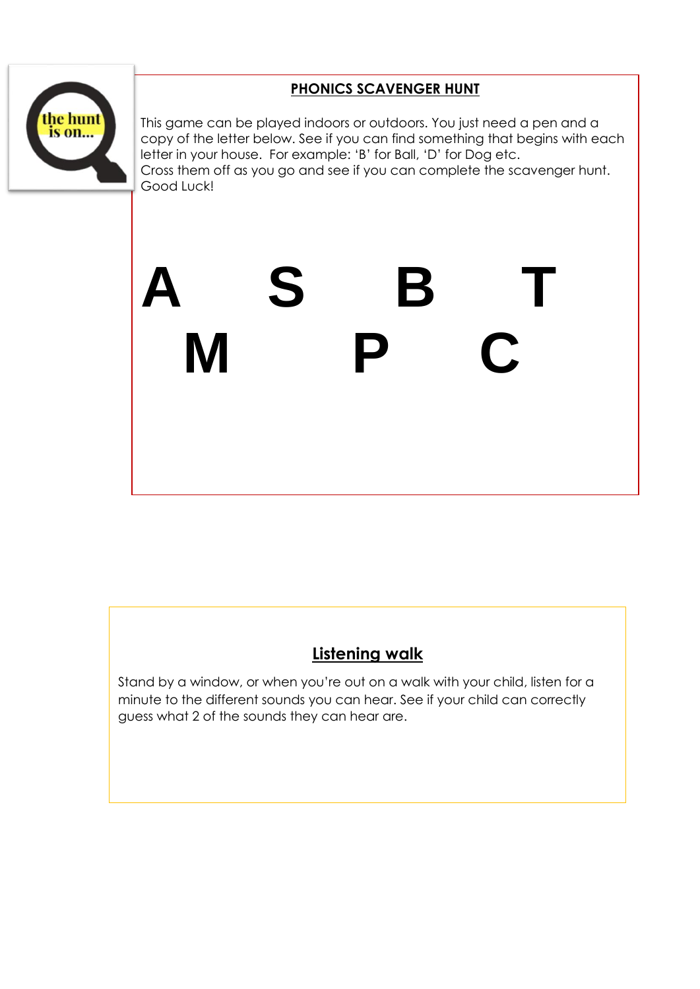

# **PHONICS SCAVENGER HUNT**

This game can be played indoors or outdoors. You just need a pen and a copy of the letter below. See if you can find something that begins with each letter in your house. For example: 'B' for Ball, 'D' for Dog etc. Cross them off as you go and see if you can complete the scavenger hunt. Good Luck!

# **A S B T M P C**

# **Listening walk**

Stand by a window, or when you're out on a walk with your child, listen for a minute to the different sounds you can hear. See if your child can correctly guess what 2 of the sounds they can hear are.